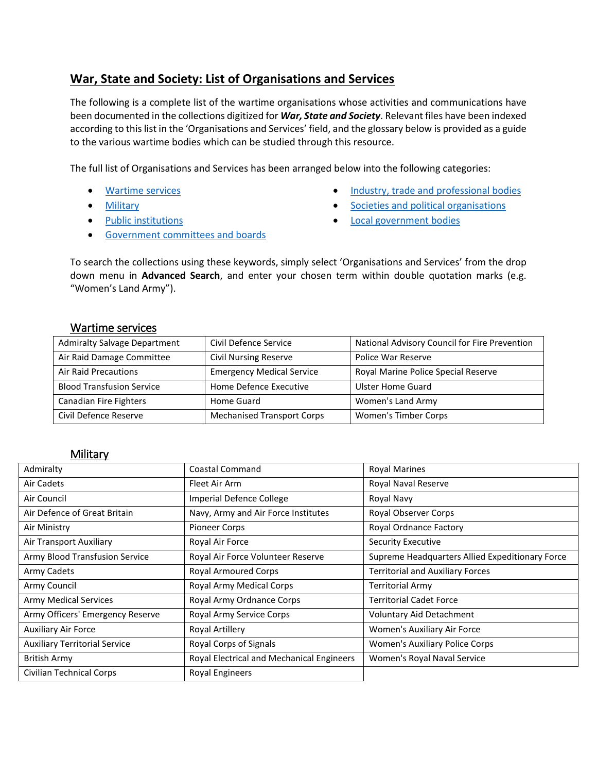### **War, State and Society: List of Organisations and Services**

The following is a complete list of the wartime organisations whose activities and communications have been documented in the collections digitized for *War, State and Society*. Relevant files have been indexed according to this list in the 'Organisations and Services' field, and the glossary below is provided as a guide to the various wartime bodies which can be studied through this resource.

The full list of Organisations and Services has been arranged below into the following categories:

- [Wartime services](#page-0-0)
- **•** [Military](#page-0-1)
- [Public institutions](#page-1-0)
- [Industry, trade and professional bodies](#page-5-0)
- **[Societies and political organisations](#page-6-0)**
- **•** [Local government bodies](#page-6-1)
- **[Government committees and boards](#page-2-0)**

To search the collections using these keywords, simply select 'Organisations and Services' from the drop down menu in **Advanced Search**, and enter your chosen term within double quotation marks (e.g. "Women's Land Army").

#### <span id="page-0-0"></span>Wartime services

| <b>Admiralty Salvage Department</b> | Civil Defence Service             | National Advisory Council for Fire Prevention |
|-------------------------------------|-----------------------------------|-----------------------------------------------|
| Air Raid Damage Committee           | <b>Civil Nursing Reserve</b>      | Police War Reserve                            |
| <b>Air Raid Precautions</b>         | <b>Emergency Medical Service</b>  | Royal Marine Police Special Reserve           |
| <b>Blood Transfusion Service</b>    | Home Defence Executive            | <b>Ulster Home Guard</b>                      |
| Canadian Fire Fighters              | Home Guard                        | Women's Land Army                             |
| Civil Defence Reserve               | <b>Mechanised Transport Corps</b> | Women's Timber Corps                          |

#### <span id="page-0-1"></span>**Military**

| Admiralty                            | <b>Coastal Command</b>                    | <b>Royal Marines</b>                            |
|--------------------------------------|-------------------------------------------|-------------------------------------------------|
| Air Cadets                           | Fleet Air Arm                             | Royal Naval Reserve                             |
| Air Council                          | Imperial Defence College                  | Royal Navy                                      |
| Air Defence of Great Britain         | Navy, Army and Air Force Institutes       | <b>Royal Observer Corps</b>                     |
| Air Ministry                         | <b>Pioneer Corps</b>                      | <b>Royal Ordnance Factory</b>                   |
| Air Transport Auxiliary              | Royal Air Force                           | <b>Security Executive</b>                       |
| Army Blood Transfusion Service       | Royal Air Force Volunteer Reserve         | Supreme Headquarters Allied Expeditionary Force |
| Army Cadets                          | <b>Royal Armoured Corps</b>               | <b>Territorial and Auxiliary Forces</b>         |
| Army Council                         | Royal Army Medical Corps                  | <b>Territorial Army</b>                         |
| <b>Army Medical Services</b>         | Royal Army Ordnance Corps                 | <b>Territorial Cadet Force</b>                  |
| Army Officers' Emergency Reserve     | Royal Army Service Corps                  | <b>Voluntary Aid Detachment</b>                 |
| <b>Auxiliary Air Force</b>           | <b>Royal Artillery</b>                    | Women's Auxiliary Air Force                     |
| <b>Auxiliary Territorial Service</b> | Royal Corps of Signals                    | Women's Auxiliary Police Corps                  |
| <b>British Army</b>                  | Royal Electrical and Mechanical Engineers | Women's Royal Naval Service                     |
| <b>Civilian Technical Corps</b>      | Royal Engineers                           |                                                 |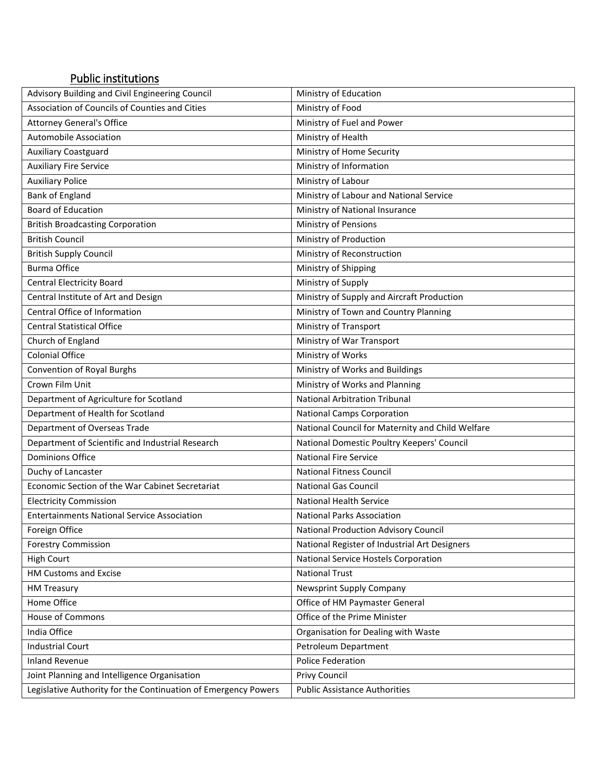## <span id="page-1-0"></span>Public institutions

| Advisory Building and Civil Engineering Council                | Ministry of Education                            |
|----------------------------------------------------------------|--------------------------------------------------|
| Association of Councils of Counties and Cities                 | Ministry of Food                                 |
| <b>Attorney General's Office</b>                               | Ministry of Fuel and Power                       |
| <b>Automobile Association</b>                                  | Ministry of Health                               |
| <b>Auxiliary Coastguard</b>                                    | Ministry of Home Security                        |
| <b>Auxiliary Fire Service</b>                                  | Ministry of Information                          |
| <b>Auxiliary Police</b>                                        | Ministry of Labour                               |
| <b>Bank of England</b>                                         | Ministry of Labour and National Service          |
| <b>Board of Education</b>                                      | Ministry of National Insurance                   |
| <b>British Broadcasting Corporation</b>                        | Ministry of Pensions                             |
| <b>British Council</b>                                         | Ministry of Production                           |
| <b>British Supply Council</b>                                  | Ministry of Reconstruction                       |
| <b>Burma Office</b>                                            | Ministry of Shipping                             |
| <b>Central Electricity Board</b>                               | Ministry of Supply                               |
| Central Institute of Art and Design                            | Ministry of Supply and Aircraft Production       |
| Central Office of Information                                  | Ministry of Town and Country Planning            |
| <b>Central Statistical Office</b>                              | Ministry of Transport                            |
| Church of England                                              | Ministry of War Transport                        |
| <b>Colonial Office</b>                                         | Ministry of Works                                |
| <b>Convention of Royal Burghs</b>                              | Ministry of Works and Buildings                  |
| Crown Film Unit                                                | Ministry of Works and Planning                   |
| Department of Agriculture for Scotland                         | <b>National Arbitration Tribunal</b>             |
| Department of Health for Scotland                              | <b>National Camps Corporation</b>                |
| Department of Overseas Trade                                   | National Council for Maternity and Child Welfare |
| Department of Scientific and Industrial Research               | National Domestic Poultry Keepers' Council       |
| <b>Dominions Office</b>                                        | <b>National Fire Service</b>                     |
| Duchy of Lancaster                                             | <b>National Fitness Council</b>                  |
| Economic Section of the War Cabinet Secretariat                | <b>National Gas Council</b>                      |
| <b>Electricity Commission</b>                                  | <b>National Health Service</b>                   |
| <b>Entertainments National Service Association</b>             | <b>National Parks Association</b>                |
| Foreign Office                                                 | <b>National Production Advisory Council</b>      |
| <b>Forestry Commission</b>                                     | National Register of Industrial Art Designers    |
| <b>High Court</b>                                              | National Service Hostels Corporation             |
| <b>HM Customs and Excise</b>                                   | <b>National Trust</b>                            |
| <b>HM Treasury</b>                                             | Newsprint Supply Company                         |
| Home Office                                                    | Office of HM Paymaster General                   |
| <b>House of Commons</b>                                        | Office of the Prime Minister                     |
| India Office                                                   | Organisation for Dealing with Waste              |
| <b>Industrial Court</b>                                        | Petroleum Department                             |
| <b>Inland Revenue</b>                                          | <b>Police Federation</b>                         |
| Joint Planning and Intelligence Organisation                   | Privy Council                                    |
| Legislative Authority for the Continuation of Emergency Powers | <b>Public Assistance Authorities</b>             |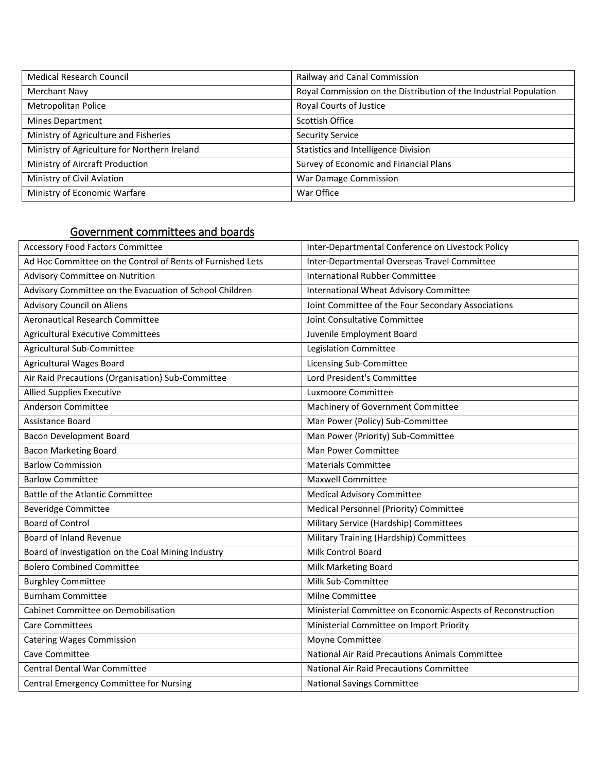| <b>Medical Research Council</b>              | Railway and Canal Commission                                      |
|----------------------------------------------|-------------------------------------------------------------------|
| <b>Merchant Navy</b>                         | Royal Commission on the Distribution of the Industrial Population |
| Metropolitan Police                          | Royal Courts of Justice                                           |
| Mines Department                             | Scottish Office                                                   |
| Ministry of Agriculture and Fisheries        | <b>Security Service</b>                                           |
| Ministry of Agriculture for Northern Ireland | <b>Statistics and Intelligence Division</b>                       |
| Ministry of Aircraft Production              | Survey of Economic and Financial Plans                            |
| Ministry of Civil Aviation                   | War Damage Commission                                             |
| Ministry of Economic Warfare                 | War Office                                                        |

## <span id="page-2-0"></span>Government committees and boards

| <b>Accessory Food Factors Committee</b>                    | Inter-Departmental Conference on Livestock Policy           |
|------------------------------------------------------------|-------------------------------------------------------------|
| Ad Hoc Committee on the Control of Rents of Furnished Lets | Inter-Departmental Overseas Travel Committee                |
| Advisory Committee on Nutrition                            | <b>International Rubber Committee</b>                       |
| Advisory Committee on the Evacuation of School Children    | <b>International Wheat Advisory Committee</b>               |
| <b>Advisory Council on Aliens</b>                          | Joint Committee of the Four Secondary Associations          |
| <b>Aeronautical Research Committee</b>                     | Joint Consultative Committee                                |
| <b>Agricultural Executive Committees</b>                   | Juvenile Employment Board                                   |
| Agricultural Sub-Committee                                 | Legislation Committee                                       |
| <b>Agricultural Wages Board</b>                            | Licensing Sub-Committee                                     |
| Air Raid Precautions (Organisation) Sub-Committee          | Lord President's Committee                                  |
| <b>Allied Supplies Executive</b>                           | Luxmoore Committee                                          |
| Anderson Committee                                         | Machinery of Government Committee                           |
| Assistance Board                                           | Man Power (Policy) Sub-Committee                            |
| <b>Bacon Development Board</b>                             | Man Power (Priority) Sub-Committee                          |
| <b>Bacon Marketing Board</b>                               | Man Power Committee                                         |
| <b>Barlow Commission</b>                                   | <b>Materials Committee</b>                                  |
| <b>Barlow Committee</b>                                    | <b>Maxwell Committee</b>                                    |
| Battle of the Atlantic Committee                           | <b>Medical Advisory Committee</b>                           |
| <b>Beveridge Committee</b>                                 | Medical Personnel (Priority) Committee                      |
| <b>Board of Control</b>                                    | Military Service (Hardship) Committees                      |
| Board of Inland Revenue                                    | Military Training (Hardship) Committees                     |
| Board of Investigation on the Coal Mining Industry         | Milk Control Board                                          |
| <b>Bolero Combined Committee</b>                           | Milk Marketing Board                                        |
| <b>Burghley Committee</b>                                  | Milk Sub-Committee                                          |
| <b>Burnham Committee</b>                                   | <b>Milne Committee</b>                                      |
| Cabinet Committee on Demobilisation                        | Ministerial Committee on Economic Aspects of Reconstruction |
| <b>Care Committees</b>                                     | Ministerial Committee on Import Priority                    |
| <b>Catering Wages Commission</b>                           | Moyne Committee                                             |
| Cave Committee                                             | National Air Raid Precautions Animals Committee             |
| <b>Central Dental War Committee</b>                        | National Air Raid Precautions Committee                     |
| Central Emergency Committee for Nursing                    | <b>National Savings Committee</b>                           |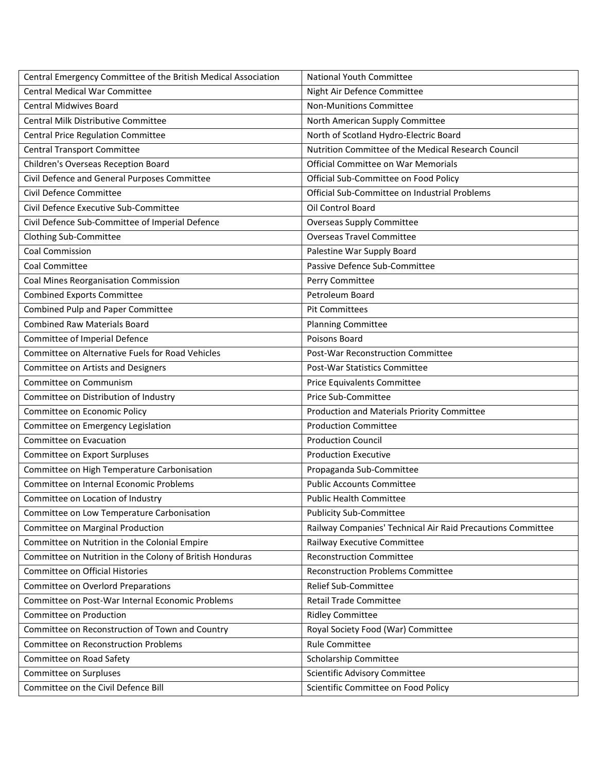| Central Emergency Committee of the British Medical Association | <b>National Youth Committee</b>                             |
|----------------------------------------------------------------|-------------------------------------------------------------|
| <b>Central Medical War Committee</b>                           | Night Air Defence Committee                                 |
| <b>Central Midwives Board</b>                                  | <b>Non-Munitions Committee</b>                              |
| <b>Central Milk Distributive Committee</b>                     | North American Supply Committee                             |
| Central Price Regulation Committee                             | North of Scotland Hydro-Electric Board                      |
| <b>Central Transport Committee</b>                             | Nutrition Committee of the Medical Research Council         |
| Children's Overseas Reception Board                            | Official Committee on War Memorials                         |
| Civil Defence and General Purposes Committee                   | Official Sub-Committee on Food Policy                       |
| Civil Defence Committee                                        | Official Sub-Committee on Industrial Problems               |
| Civil Defence Executive Sub-Committee                          | Oil Control Board                                           |
| Civil Defence Sub-Committee of Imperial Defence                | <b>Overseas Supply Committee</b>                            |
| Clothing Sub-Committee                                         | <b>Overseas Travel Committee</b>                            |
| <b>Coal Commission</b>                                         | Palestine War Supply Board                                  |
| <b>Coal Committee</b>                                          | Passive Defence Sub-Committee                               |
| Coal Mines Reorganisation Commission                           | Perry Committee                                             |
| <b>Combined Exports Committee</b>                              | Petroleum Board                                             |
| Combined Pulp and Paper Committee                              | <b>Pit Committees</b>                                       |
| <b>Combined Raw Materials Board</b>                            | <b>Planning Committee</b>                                   |
| Committee of Imperial Defence                                  | Poisons Board                                               |
| Committee on Alternative Fuels for Road Vehicles               | Post-War Reconstruction Committee                           |
| Committee on Artists and Designers                             | Post-War Statistics Committee                               |
| Committee on Communism                                         | Price Equivalents Committee                                 |
| Committee on Distribution of Industry                          | Price Sub-Committee                                         |
| Committee on Economic Policy                                   | Production and Materials Priority Committee                 |
| Committee on Emergency Legislation                             | <b>Production Committee</b>                                 |
| Committee on Evacuation                                        | <b>Production Council</b>                                   |
| Committee on Export Surpluses                                  | <b>Production Executive</b>                                 |
| Committee on High Temperature Carbonisation                    | Propaganda Sub-Committee                                    |
| Committee on Internal Economic Problems                        | <b>Public Accounts Committee</b>                            |
| Committee on Location of Industry                              | <b>Public Health Committee</b>                              |
| Committee on Low Temperature Carbonisation                     | <b>Publicity Sub-Committee</b>                              |
| Committee on Marginal Production                               | Railway Companies' Technical Air Raid Precautions Committee |
| Committee on Nutrition in the Colonial Empire                  | Railway Executive Committee                                 |
| Committee on Nutrition in the Colony of British Honduras       | <b>Reconstruction Committee</b>                             |
| Committee on Official Histories                                | <b>Reconstruction Problems Committee</b>                    |
| Committee on Overlord Preparations                             | Relief Sub-Committee                                        |
| Committee on Post-War Internal Economic Problems               | <b>Retail Trade Committee</b>                               |
| Committee on Production                                        | <b>Ridley Committee</b>                                     |
| Committee on Reconstruction of Town and Country                | Royal Society Food (War) Committee                          |
| <b>Committee on Reconstruction Problems</b>                    | <b>Rule Committee</b>                                       |
| Committee on Road Safety                                       | Scholarship Committee                                       |
| Committee on Surpluses                                         | Scientific Advisory Committee                               |
| Committee on the Civil Defence Bill                            | Scientific Committee on Food Policy                         |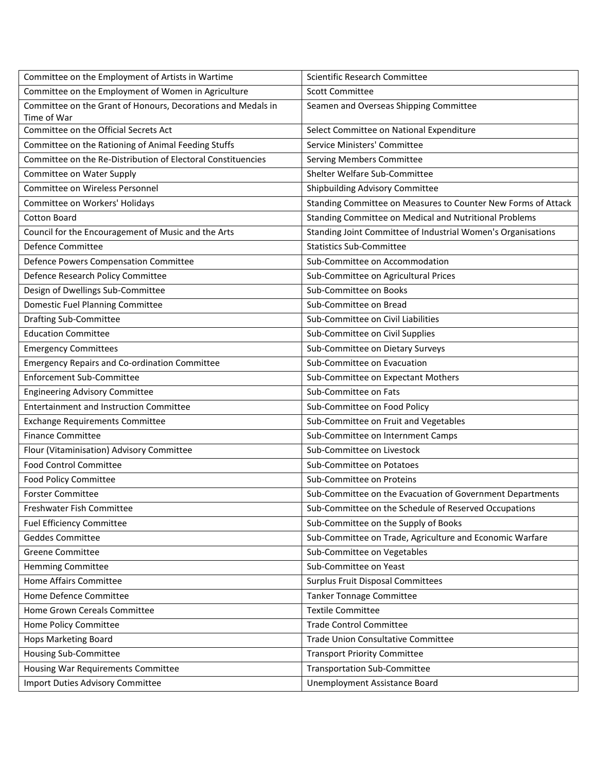| Committee on the Employment of Artists in Wartime            | Scientific Research Committee                                 |
|--------------------------------------------------------------|---------------------------------------------------------------|
| Committee on the Employment of Women in Agriculture          | <b>Scott Committee</b>                                        |
| Committee on the Grant of Honours, Decorations and Medals in | Seamen and Overseas Shipping Committee                        |
| Time of War                                                  |                                                               |
| Committee on the Official Secrets Act                        | Select Committee on National Expenditure                      |
| Committee on the Rationing of Animal Feeding Stuffs          | Service Ministers' Committee                                  |
| Committee on the Re-Distribution of Electoral Constituencies | Serving Members Committee                                     |
| Committee on Water Supply                                    | Shelter Welfare Sub-Committee                                 |
| Committee on Wireless Personnel                              | Shipbuilding Advisory Committee                               |
| Committee on Workers' Holidays                               | Standing Committee on Measures to Counter New Forms of Attack |
| <b>Cotton Board</b>                                          | Standing Committee on Medical and Nutritional Problems        |
| Council for the Encouragement of Music and the Arts          | Standing Joint Committee of Industrial Women's Organisations  |
| Defence Committee                                            | <b>Statistics Sub-Committee</b>                               |
| Defence Powers Compensation Committee                        | Sub-Committee on Accommodation                                |
| Defence Research Policy Committee                            | Sub-Committee on Agricultural Prices                          |
| Design of Dwellings Sub-Committee                            | Sub-Committee on Books                                        |
| Domestic Fuel Planning Committee                             | Sub-Committee on Bread                                        |
| <b>Drafting Sub-Committee</b>                                | Sub-Committee on Civil Liabilities                            |
| <b>Education Committee</b>                                   | Sub-Committee on Civil Supplies                               |
| <b>Emergency Committees</b>                                  | Sub-Committee on Dietary Surveys                              |
| <b>Emergency Repairs and Co-ordination Committee</b>         | Sub-Committee on Evacuation                                   |
| <b>Enforcement Sub-Committee</b>                             | Sub-Committee on Expectant Mothers                            |
| <b>Engineering Advisory Committee</b>                        | Sub-Committee on Fats                                         |
| <b>Entertainment and Instruction Committee</b>               | Sub-Committee on Food Policy                                  |
| <b>Exchange Requirements Committee</b>                       | Sub-Committee on Fruit and Vegetables                         |
| <b>Finance Committee</b>                                     | Sub-Committee on Internment Camps                             |
| Flour (Vitaminisation) Advisory Committee                    | Sub-Committee on Livestock                                    |
| <b>Food Control Committee</b>                                | Sub-Committee on Potatoes                                     |
| <b>Food Policy Committee</b>                                 | Sub-Committee on Proteins                                     |
| <b>Forster Committee</b>                                     | Sub-Committee on the Evacuation of Government Departments     |
| Freshwater Fish Committee                                    | Sub-Committee on the Schedule of Reserved Occupations         |
| <b>Fuel Efficiency Committee</b>                             | Sub-Committee on the Supply of Books                          |
| <b>Geddes Committee</b>                                      | Sub-Committee on Trade, Agriculture and Economic Warfare      |
| <b>Greene Committee</b>                                      | Sub-Committee on Vegetables                                   |
| <b>Hemming Committee</b>                                     | Sub-Committee on Yeast                                        |
| Home Affairs Committee                                       | Surplus Fruit Disposal Committees                             |
| Home Defence Committee                                       | <b>Tanker Tonnage Committee</b>                               |
| Home Grown Cereals Committee                                 | <b>Textile Committee</b>                                      |
| Home Policy Committee                                        | <b>Trade Control Committee</b>                                |
| Hops Marketing Board                                         | Trade Union Consultative Committee                            |
| Housing Sub-Committee                                        | <b>Transport Priority Committee</b>                           |
| Housing War Requirements Committee                           | <b>Transportation Sub-Committee</b>                           |
| <b>Import Duties Advisory Committee</b>                      | Unemployment Assistance Board                                 |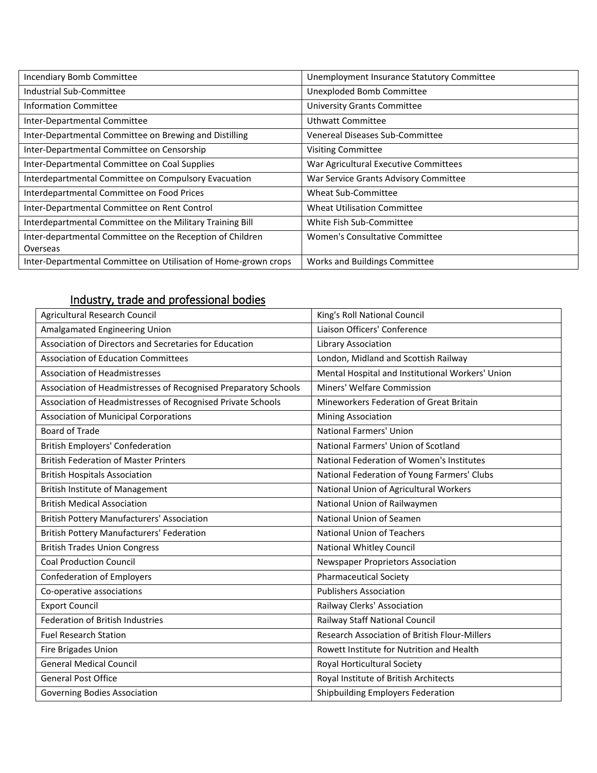| Incendiary Bomb Committee                                       | Unemployment Insurance Statutory Committee |
|-----------------------------------------------------------------|--------------------------------------------|
| Industrial Sub-Committee                                        | Unexploded Bomb Committee                  |
| <b>Information Committee</b>                                    | <b>University Grants Committee</b>         |
| Inter-Departmental Committee                                    | Uthwatt Committee                          |
| Inter-Departmental Committee on Brewing and Distilling          | Venereal Diseases Sub-Committee            |
| Inter-Departmental Committee on Censorship                      | <b>Visiting Committee</b>                  |
| Inter-Departmental Committee on Coal Supplies                   | War Agricultural Executive Committees      |
| Interdepartmental Committee on Compulsory Evacuation            | War Service Grants Advisory Committee      |
| Interdepartmental Committee on Food Prices                      | Wheat Sub-Committee                        |
| Inter-Departmental Committee on Rent Control                    | <b>Wheat Utilisation Committee</b>         |
| Interdepartmental Committee on the Military Training Bill       | White Fish Sub-Committee                   |
| Inter-departmental Committee on the Reception of Children       | Women's Consultative Committee             |
| Overseas                                                        |                                            |
| Inter-Departmental Committee on Utilisation of Home-grown crops | Works and Buildings Committee              |

# <span id="page-5-0"></span>Industry, trade and professional bodies

| Agricultural Research Council                                   | King's Roll National Council                     |
|-----------------------------------------------------------------|--------------------------------------------------|
| Amalgamated Engineering Union                                   | Liaison Officers' Conference                     |
| Association of Directors and Secretaries for Education          | Library Association                              |
| <b>Association of Education Committees</b>                      | London, Midland and Scottish Railway             |
| Association of Headmistresses                                   | Mental Hospital and Institutional Workers' Union |
| Association of Headmistresses of Recognised Preparatory Schools | Miners' Welfare Commission                       |
| Association of Headmistresses of Recognised Private Schools     | Mineworkers Federation of Great Britain          |
| <b>Association of Municipal Corporations</b>                    | <b>Mining Association</b>                        |
| Board of Trade                                                  | <b>National Farmers' Union</b>                   |
| <b>British Employers' Confederation</b>                         | National Farmers' Union of Scotland              |
| <b>British Federation of Master Printers</b>                    | National Federation of Women's Institutes        |
| <b>British Hospitals Association</b>                            | National Federation of Young Farmers' Clubs      |
| <b>British Institute of Management</b>                          | National Union of Agricultural Workers           |
| <b>British Medical Association</b>                              | National Union of Railwaymen                     |
| <b>British Pottery Manufacturers' Association</b>               | National Union of Seamen                         |
| <b>British Pottery Manufacturers' Federation</b>                | <b>National Union of Teachers</b>                |
| <b>British Trades Union Congress</b>                            | <b>National Whitley Council</b>                  |
| <b>Coal Production Council</b>                                  | Newspaper Proprietors Association                |
| <b>Confederation of Employers</b>                               | <b>Pharmaceutical Society</b>                    |
| Co-operative associations                                       | <b>Publishers Association</b>                    |
| <b>Export Council</b>                                           | Railway Clerks' Association                      |
| Federation of British Industries                                | Railway Staff National Council                   |
| <b>Fuel Research Station</b>                                    | Research Association of British Flour-Millers    |
| Fire Brigades Union                                             | Rowett Institute for Nutrition and Health        |
| <b>General Medical Council</b>                                  | Royal Horticultural Society                      |
| <b>General Post Office</b>                                      | Royal Institute of British Architects            |
| Governing Bodies Association                                    | Shipbuilding Employers Federation                |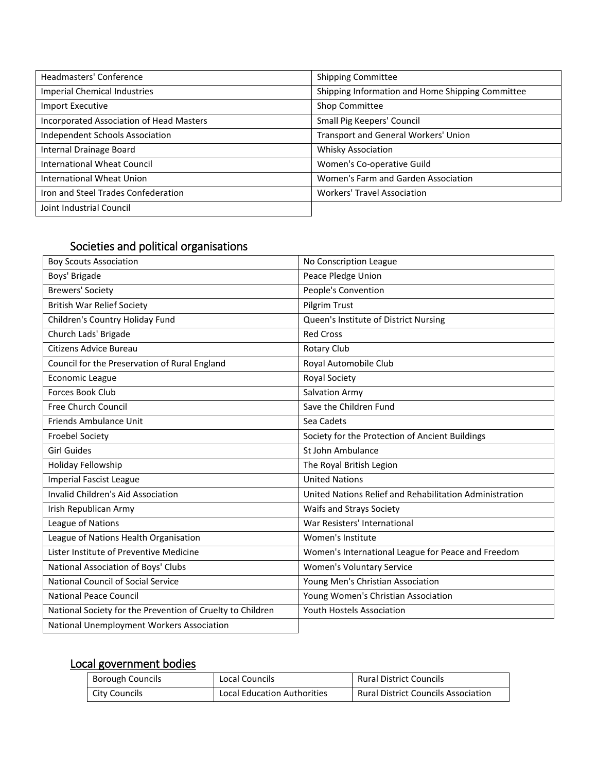| Headmasters' Conference                  | <b>Shipping Committee</b>                        |
|------------------------------------------|--------------------------------------------------|
| <b>Imperial Chemical Industries</b>      | Shipping Information and Home Shipping Committee |
| Import Executive                         | Shop Committee                                   |
| Incorporated Association of Head Masters | Small Pig Keepers' Council                       |
| Independent Schools Association          | Transport and General Workers' Union             |
| Internal Drainage Board                  | <b>Whisky Association</b>                        |
| <b>International Wheat Council</b>       | Women's Co-operative Guild                       |
| International Wheat Union                | Women's Farm and Garden Association              |
| Iron and Steel Trades Confederation      | <b>Workers' Travel Association</b>               |
| Joint Industrial Council                 |                                                  |

### <span id="page-6-0"></span>Societies and political organisations

| <b>Boy Scouts Association</b>                              | No Conscription League                                  |
|------------------------------------------------------------|---------------------------------------------------------|
| Boys' Brigade                                              | Peace Pledge Union                                      |
| <b>Brewers' Society</b>                                    | People's Convention                                     |
| <b>British War Relief Society</b>                          | Pilgrim Trust                                           |
| Children's Country Holiday Fund                            | Queen's Institute of District Nursing                   |
| Church Lads' Brigade                                       | <b>Red Cross</b>                                        |
| <b>Citizens Advice Bureau</b>                              | Rotary Club                                             |
| Council for the Preservation of Rural England              | Royal Automobile Club                                   |
| <b>Economic League</b>                                     | Royal Society                                           |
| <b>Forces Book Club</b>                                    | <b>Salvation Army</b>                                   |
| Free Church Council                                        | Save the Children Fund                                  |
| Friends Ambulance Unit                                     | Sea Cadets                                              |
| <b>Froebel Society</b>                                     | Society for the Protection of Ancient Buildings         |
| <b>Girl Guides</b>                                         | St John Ambulance                                       |
| Holiday Fellowship                                         | The Royal British Legion                                |
| <b>Imperial Fascist League</b>                             | <b>United Nations</b>                                   |
| Invalid Children's Aid Association                         | United Nations Relief and Rehabilitation Administration |
| Irish Republican Army                                      | Waifs and Strays Society                                |
| League of Nations                                          | War Resisters' International                            |
| League of Nations Health Organisation                      | Women's Institute                                       |
| Lister Institute of Preventive Medicine                    | Women's International League for Peace and Freedom      |
| National Association of Boys' Clubs                        | <b>Women's Voluntary Service</b>                        |
| National Council of Social Service                         | Young Men's Christian Association                       |
| <b>National Peace Council</b>                              | Young Women's Christian Association                     |
| National Society for the Prevention of Cruelty to Children | Youth Hostels Association                               |
| National Unemployment Workers Association                  |                                                         |

# <span id="page-6-1"></span>Local government bodies

| <b>Borough Councils</b> | Local Councils                     | <b>Rural District Councils</b>             |
|-------------------------|------------------------------------|--------------------------------------------|
| City Councils           | <b>Local Education Authorities</b> | <b>Rural District Councils Association</b> |